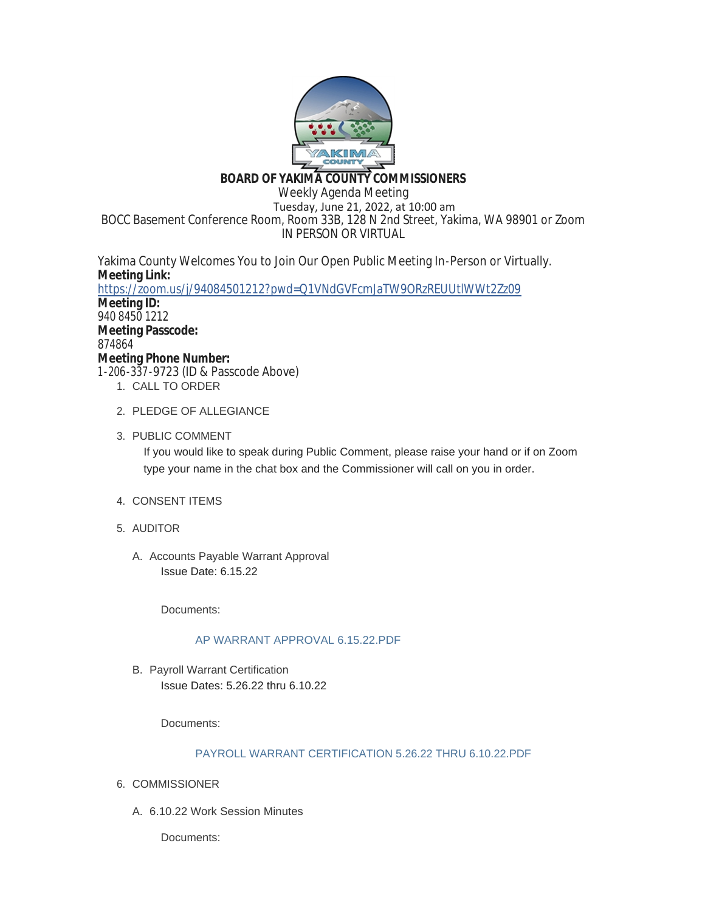

# **BOARD OF YAKIMA COUNTY COMMISSIONERS**

Weekly Agenda Meeting Tuesday, June 21, 2022, at 10:00 am BOCC Basement Conference Room, Room 33B, 128 N 2nd Street, Yakima, WA 98901 or Zoom IN PERSON OR VIRTUAL

Yakima County Welcomes You to Join Our Open Public Meeting In-Person or Virtually. **Meeting Link:** <https://zoom.us/j/94084501212?pwd=Q1VNdGVFcmJaTW9ORzREUUtlWWt2Zz09>

**Meeting ID:** 940 8450 1212 **Meeting Passcode:** 874864 **Meeting Phone Number:** 1-206-337-9723 (ID & Passcode Above)

- 1. CALL TO ORDER
- 2. PLEDGE OF ALLEGIANCE
- 3. PUBLIC COMMENT

If you would like to speak during Public Comment, please raise your hand or if on Zoom type your name in the chat box and the Commissioner will call on you in order.

- 4. CONSENT ITEMS
- AUDITOR 5.
	- A. Accounts Payable Warrant Approval Issue Date: 6.15.22

Documents:

# [AP WARRANT APPROVAL 6.15.22.PDF](https://www.yakimacounty.us/AgendaCenter/ViewFile/Item/4683?fileID=16298)

B. Payroll Warrant Certification Issue Dates: 5.26.22 thru 6.10.22

Documents:

# [PAYROLL WARRANT CERTIFICATION 5.26.22 THRU 6.10.22.PDF](https://www.yakimacounty.us/AgendaCenter/ViewFile/Item/4685?fileID=16299)

- 6. COMMISSIONER
	- 6.10.22 Work Session Minutes A.

Documents: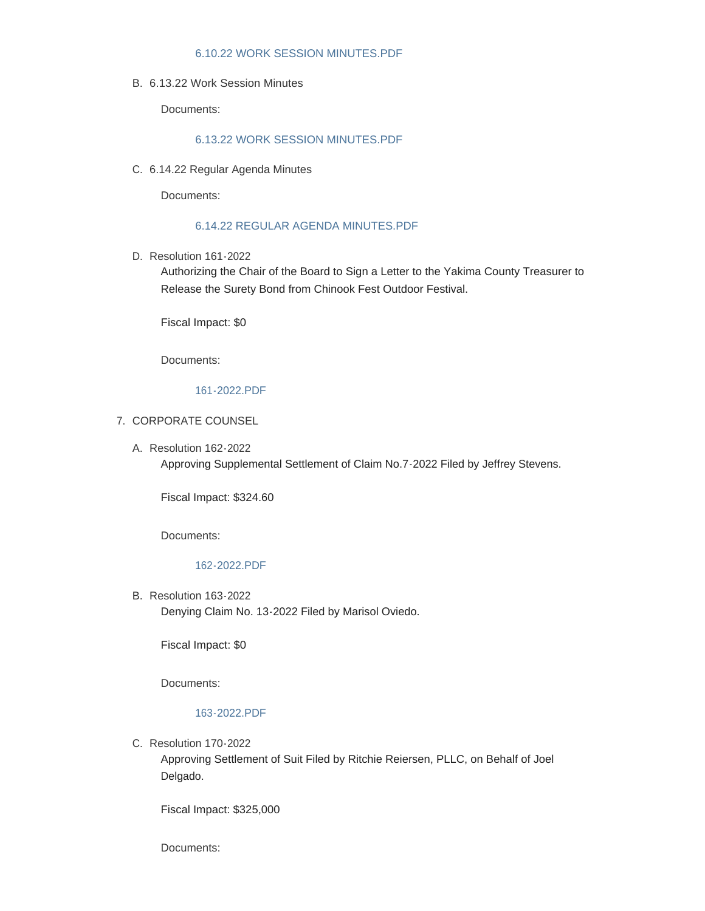### [6.10.22 WORK SESSION MINUTES.PDF](https://www.yakimacounty.us/AgendaCenter/ViewFile/Item/4668?fileID=16288)

6.13.22 Work Session Minutes B.

Documents:

# [6.13.22 WORK SESSION MINUTES.PDF](https://www.yakimacounty.us/AgendaCenter/ViewFile/Item/4669?fileID=16289)

6.14.22 Regular Agenda Minutes C.

Documents:

## [6.14.22 REGULAR AGENDA MINUTES.PDF](https://www.yakimacounty.us/AgendaCenter/ViewFile/Item/4670?fileID=16290)

D. Resolution 161-2022

Authorizing the Chair of the Board to Sign a Letter to the Yakima County Treasurer to Release the Surety Bond from Chinook Fest Outdoor Festival.

Fiscal Impact: \$0

Documents:

### [161-2022.PDF](https://www.yakimacounty.us/AgendaCenter/ViewFile/Item/4671?fileID=16291)

- 7. CORPORATE COUNSEL
	- Resolution 162-2022 A. Approving Supplemental Settlement of Claim No.7-2022 Filed by Jeffrey Stevens.

Fiscal Impact: \$324.60

Documents:

### [162-2022.PDF](https://www.yakimacounty.us/AgendaCenter/ViewFile/Item/4677?fileID=16292)

B. Resolution 163-2022 Denying Claim No. 13-2022 Filed by Marisol Oviedo.

Fiscal Impact: \$0

Documents:

### [163-2022.PDF](https://www.yakimacounty.us/AgendaCenter/ViewFile/Item/4678?fileID=16293)

C. Resolution 170-2022

Approving Settlement of Suit Filed by Ritchie Reiersen, PLLC, on Behalf of Joel Delgado.

Fiscal Impact: \$325,000

Documents: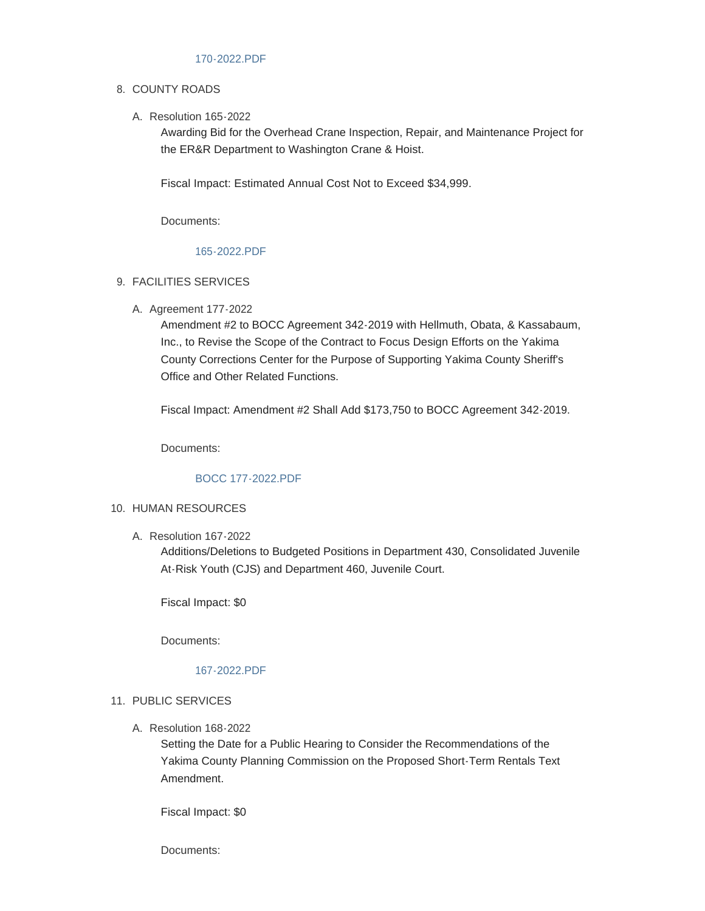## 8. COUNTY ROADS

Resolution 165-2022 A.

Awarding Bid for the Overhead Crane Inspection, Repair, and Maintenance Project for the ER&R Department to Washington Crane & Hoist.

Fiscal Impact: Estimated Annual Cost Not to Exceed \$34,999.

Documents:

### [165-2022.PDF](https://www.yakimacounty.us/AgendaCenter/ViewFile/Item/4680?fileID=16295)

### FACILITIES SERVICES 9.

A. Agreement 177-2022

Amendment #2 to BOCC Agreement 342-2019 with Hellmuth, Obata, & Kassabaum, Inc., to Revise the Scope of the Contract to Focus Design Efforts on the Yakima County Corrections Center for the Purpose of Supporting Yakima County Sheriff's Office and Other Related Functions.

Fiscal Impact: Amendment #2 Shall Add \$173,750 to BOCC Agreement 342-2019.

Documents:

# [BOCC 177-2022.PDF](https://www.yakimacounty.us/AgendaCenter/ViewFile/Item/4688?fileID=16302)

### 10. HUMAN RESOURCES

Resolution 167-2022 A.

Additions/Deletions to Budgeted Positions in Department 430, Consolidated Juvenile At-Risk Youth (CJS) and Department 460, Juvenile Court.

Fiscal Impact: \$0

Documents:

### [167-2022.PDF](https://www.yakimacounty.us/AgendaCenter/ViewFile/Item/4690?fileID=16304)

- 11. PUBLIC SERVICES
	- Resolution 168-2022 A.

Setting the Date for a Public Hearing to Consider the Recommendations of the Yakima County Planning Commission on the Proposed Short-Term Rentals Text Amendment.

Fiscal Impact: \$0

Documents: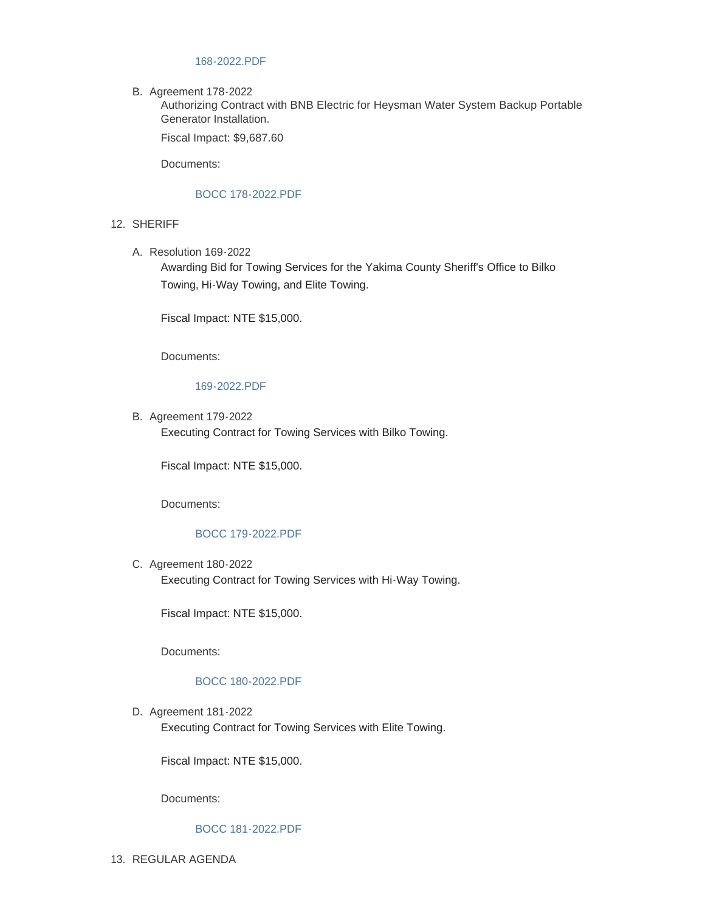### [168-2022.PDF](https://www.yakimacounty.us/AgendaCenter/ViewFile/Item/4682?fileID=16297)

B. Agreement 178-2022

Authorizing Contract with BNB Electric for Heysman Water System Backup Portable Generator Installation.

Fiscal Impact: \$9,687.60

Documents:

#### [BOCC 178-2022.PDF](https://www.yakimacounty.us/AgendaCenter/ViewFile/Item/4689?fileID=16303)

- 12. SHERIFF
	- Resolution 169-2022 A.

Awarding Bid for Towing Services for the Yakima County Sheriff's Office to Bilko Towing, Hi-Way Towing, and Elite Towing.

Fiscal Impact: NTE \$15,000.

Documents:

[169-2022.PDF](https://www.yakimacounty.us/AgendaCenter/ViewFile/Item/4691?fileID=16305)

B. Agreement 179-2022 Executing Contract for Towing Services with Bilko Towing.

Fiscal Impact: NTE \$15,000.

Documents:

### [BOCC 179-2022.PDF](https://www.yakimacounty.us/AgendaCenter/ViewFile/Item/4692?fileID=16306)

C. Agreement 180-2022 Executing Contract for Towing Services with Hi-Way Towing.

Fiscal Impact: NTE \$15,000.

Documents:

#### [BOCC 180-2022.PDF](https://www.yakimacounty.us/AgendaCenter/ViewFile/Item/4693?fileID=16307)

D. Agreement 181-2022 Executing Contract for Towing Services with Elite Towing.

Fiscal Impact: NTE \$15,000.

Documents:

#### [BOCC 181-2022.PDF](https://www.yakimacounty.us/AgendaCenter/ViewFile/Item/4694?fileID=16308)

13. REGULAR AGENDA